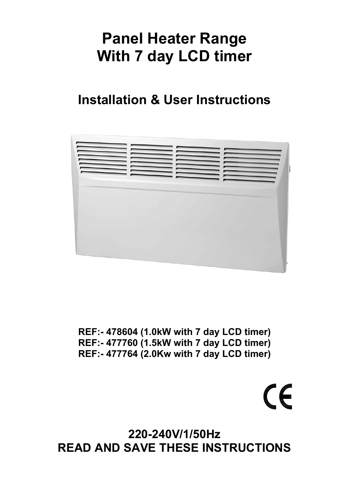# **Panel Heater Range With 7 day LCD timer**

## **Installation & User Instructions**



**REF:- 478604 (1.0kW with 7 day LCD timer) REF:- 477760 (1.5kW with 7 day LCD timer) REF:- 477764 (2.0Kw with 7 day LCD timer)**

CE CONTRO

**220-240V/1/50Hz READ AND SAVE THESE INSTRUCTIONS**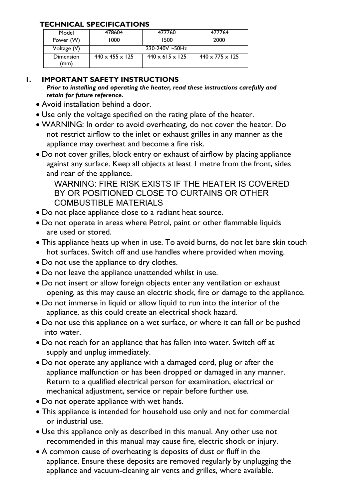## **TECHNICAL SPECIFICATIONS**

| Model             | 478604                      | 477760                      | 477764                      |
|-------------------|-----------------------------|-----------------------------|-----------------------------|
| Power (W)         | 1000                        | 1500                        | 2000                        |
| Voltage $(V)$     |                             | $230-240V - 50Hz$           |                             |
| Dimension<br>(mm) | $440 \times 455 \times 125$ | $440 \times 615 \times 125$ | $440 \times 775 \times 125$ |

## **1. IMPORTANT SAFETY INSTRUCTIONS**

*Prior to installing and operating the heater, read these instructions carefully and retain for future reference.* 

- Avoid installation behind a door.
- Use only the voltage specified on the rating plate of the heater.
- WARNING: In order to avoid overheating, do not cover the heater. Do not restrict airflow to the inlet or exhaust grilles in any manner as the appliance may overheat and become a fire risk.
- Do not cover grilles, block entry or exhaust of airflow by placing appliance against any surface. Keep all objects at least 1 metre from the front, sides and rear of the appliance.

 WARNING: FIRE RISK EXISTS IF THE HEATER IS COVERED BY OR POSITIONED CLOSE TO CURTAINS OR OTHER COMBUSTIBLE MATERIALS

- Do not place appliance close to a radiant heat source.
- Do not operate in areas where Petrol, paint or other flammable liquids are used or stored.
- This appliance heats up when in use. To avoid burns, do not let bare skin touch hot surfaces. Switch off and use handles where provided when moving.
- Do not use the appliance to dry clothes.
- Do not leave the appliance unattended whilst in use.
- Do not insert or allow foreign objects enter any ventilation or exhaust opening, as this may cause an electric shock, fire or damage to the appliance.
- Do not immerse in liquid or allow liquid to run into the interior of the appliance, as this could create an electrical shock hazard.
- Do not use this appliance on a wet surface, or where it can fall or be pushed into water.
- Do not reach for an appliance that has fallen into water. Switch off at supply and unplug immediately.
- Do not operate any appliance with a damaged cord, plug or after the appliance malfunction or has been dropped or damaged in any manner. Return to a qualified electrical person for examination, electrical or mechanical adjustment, service or repair before further use.
- Do not operate appliance with wet hands.
- This appliance is intended for household use only and not for commercial or industrial use.
- Use this appliance only as described in this manual. Any other use not recommended in this manual may cause fire, electric shock or injury.
- A common cause of overheating is deposits of dust or fluff in the appliance. Ensure these deposits are removed regularly by unplugging the appliance and vacuum-cleaning air vents and grilles, where available.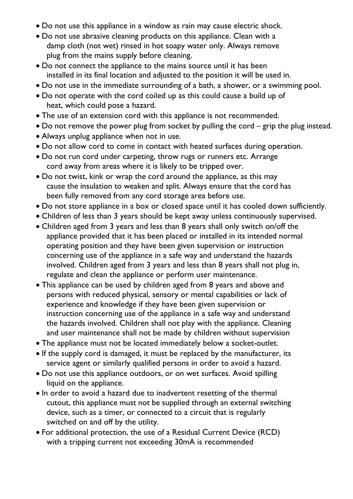- Do not use this appliance in a window as rain may cause electric shock.
- Do not use abrasive cleaning products on this appliance. Clean with a damp cloth (not wet) rinsed in hot soapy water only. Always remove plug from the mains supply before cleaning.
- Do not connect the appliance to the mains source until it has been installed in its final location and adjusted to the position it will be used in.
- Do not use in the immediate surrounding of a bath, a shower, or a swimming pool.
- Do not operate with the cord coiled up as this could cause a build up of heat, which could pose a hazard.
- The use of an extension cord with this appliance is not recommended.
- Do not remove the power plug from socket by pulling the cord grip the plug instead.
- Always unplug appliance when not in use.
- Do not allow cord to come in contact with heated surfaces during operation.
- Do not run cord under carpeting, throw rugs or runners etc. Arrange cord away from areas where it is likely to be tripped over.
- Do not twist, kink or wrap the cord around the appliance, as this may cause the insulation to weaken and split. Always ensure that the cord has been fully removed from any cord storage area before use.
- Do not store appliance in a box or closed space until it has cooled down sufficiently.
- Children of less than 3 years should be kept away unless continuously supervised.
- Children aged from 3 years and less than 8 years shall only switch on/off the appliance provided that it has been placed or installed in its intended normal operating position and they have been given supervision or instruction concerning use of the appliance in a safe way and understand the hazards involved. Children aged from 3 years and less than 8 years shall not plug in, regulate and clean the appliance or perform user maintenance.
- This appliance can be used by children aged from 8 years and above and persons with reduced physical, sensory or mental capabilities or lack of experience and knowledge if they have been given supervision or instruction concerning use of the appliance in a safe way and understand the hazards involved. Children shall not play with the appliance. Cleaning and user maintenance shall not be made by children without supervision
- The appliance must not be located immediately below a socket-outlet.
- If the supply cord is damaged, it must be replaced by the manufacturer, its service agent or similarly qualified persons in order to avoid a hazard.
- Do not use this appliance outdoors, or on wet surfaces. Avoid spilling liquid on the appliance.
- In order to avoid a hazard due to inadvertent resetting of the thermal cutout, this appliance must not be supplied through an external switching device, such as a timer, or connected to a circuit that is regularly switched on and off by the utility.
- For additional protection, the use of a Residual Current Device (RCD) with a tripping current not exceeding 30mA is recommended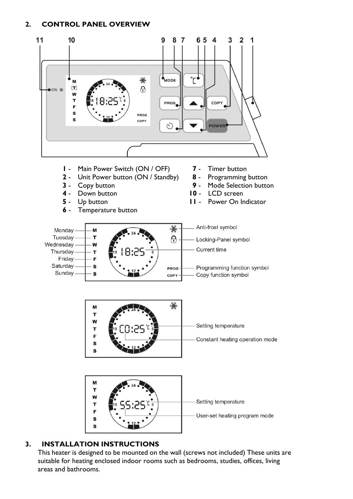## **2. CONTROL PANEL OVERVIEW**



## **3. INSTALLATION INSTRUCTIONS**

This heater is designed to be mounted on the wall (screws not included) These units are suitable for heating enclosed indoor rooms such as bedrooms, studies, offices, living areas and bathrooms.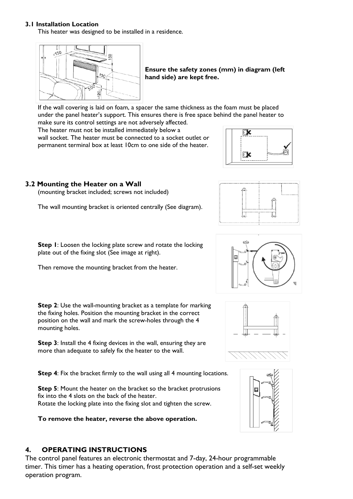#### **3.1 Installation Location**

This heater was designed to be installed in a residence.



**Ensure the safety zones (mm) in diagram (left hand side) are kept free.**

If the wall covering is laid on foam, a spacer the same thickness as the foam must be placed under the panel heater's support. This ensures there is free space behind the panel heater to make sure its control settings are not adversely affected.

The heater must not be installed immediately below a wall socket. The heater must be connected to a socket outlet or permanent terminal box at least 10cm to one side of the heater.



## **3.2 Mounting the Heater on a Wall**

(mounting bracket included; screws not included)

The wall mounting bracket is oriented centrally (See diagram).



**Step 1**: Loosen the locking plate screw and rotate the locking plate out of the fixing slot (See image at right).

Then remove the mounting bracket from the heater.

**Step 2**: Use the wall-mounting bracket as a template for marking the fixing holes. Position the mounting bracket in the correct position on the wall and mark the screw-holes through the 4 mounting holes.

**Step 3**: Install the 4 fixing devices in the wall, ensuring they are more than adequate to safely fix the heater to the wall.

**Step 4:** Fix the bracket firmly to the wall using all 4 mounting locations.

**Step 5:** Mount the heater on the bracket so the bracket protrusions fix into the 4 slots on the back of the heater. Rotate the locking plate into the fixing slot and tighten the screw.

**To remove the heater, reverse the above operation.** 

## **4. OPERATING INSTRUCTIONS**

The control panel features an electronic thermostat and 7-day, 24-hour programmable timer. This timer has a heating operation, frost protection operation and a self-set weekly operation program.





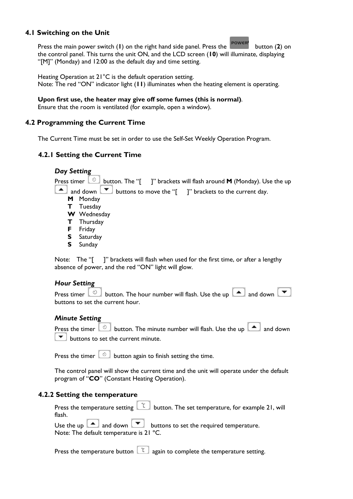#### **4.1 Switching on the Unit**

Press the main power switch (**I**) on the right hand side panel. Press the **POWER** button (2) on the control panel. This turns the unit ON, and the LCD screen (**10**) will illuminate, displaying "[M]" (Monday) and 12:00 as the default day and time setting.

Heating Operation at 21°C is the default operation setting. Note: The red "ON" indicator light (**11**) illuminates when the heating element is operating.

#### **Upon first use, the heater may give off some fumes (this is normal)**.

Ensure that the room is ventilated (for example, open a window).

#### **4.2 Programming the Current Time**

The Current Time must be set in order to use the Self-Set Weekly Operation Program.

#### **4.2.1 Setting the Current Time**

*Day Setting*  Press timer  $\begin{bmatrix} \circ \\ \circ \end{bmatrix}$  button. The "[ ]" brackets will flash around **M** (Monday). Use the up **A** and down  $\bullet$  buttons to move the "[ ]" brackets to the current day. **M** Monday **T** Tuesday **W** Wednesday **T** Thursday **F** Friday **S** Saturday **S** Sunday

Note: The "[ ]" brackets will flash when used for the first time, or after a lengthy absence of power, and the red "ON" light will glow.

#### *Hour Setting*

Press timer  $\begin{array}{|c|c|c|c|}\n\hline\n\end{array}$  button. The hour number will flash. Use the up  $\begin{array}{|c|c|c|}\n\hline\n\end{array}$  and down  $\begin{array}{|c|c|c|}\n\hline\n\end{array}$ buttons to set the current hour.

#### *Minute Setting*

Press the timer  $\begin{bmatrix} \circ \\ \circ \end{bmatrix}$  button. The minute number will flash. Use the up  $\begin{bmatrix} \bullet \\ \bullet \end{bmatrix}$  and down  $\blacktriangleright$  buttons to set the current minute.

Press the timer  $\begin{bmatrix} 0 \\ 0 \end{bmatrix}$  button again to finish setting the time.

The control panel will show the current time and the unit will operate under the default program of "**CO**" (Constant Heating Operation).

#### **4.2.2 Setting the temperature**

| Press the temperature setting $\boxed{1}$ button. The set temperature, for example 21, will |
|---------------------------------------------------------------------------------------------|
| flash.                                                                                      |
| Use the up $\Box$ and down $\Box$ buttons to set the required temperature.                  |
| Note: The default temperature is 21 °C.                                                     |

Press the temperature button  $\begin{bmatrix} 1 \ \end{bmatrix}$  again to complete the temperature setting.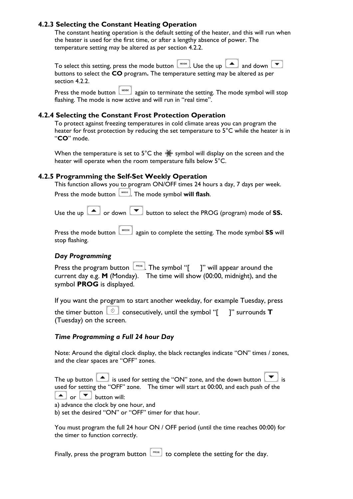## **4.2.3 Selecting the Constant Heating Operation**

The constant heating operation is the default setting of the heater, and this will run when the heater is used for the first time, or after a lengthy absence of power. The temperature setting may be altered as per section 4.2.2.

To select this setting, press the mode button  $\boxed{\bullet}$ . Use the up  $\boxed{\bullet}$  and down  $\boxed{\bullet}$ buttons to select the **CO** program**.** The temperature setting may be altered as per section 4.2.2.

Press the mode button  $\begin{bmatrix} \text{MODE} \\ \text{OPE} \end{bmatrix}$  again to terminate the setting. The mode symbol will stop flashing. The mode is now active and will run in "real time".

#### **4.2.4 Selecting the Constant Frost Protection Operation**

To protect against freezing temperatures in cold climate areas you can program the heater for frost protection by reducing the set temperature to 5°C while the heater is in "**CO**" mode.

When the temperature is set to 5°C the  $\frac{36}{36}$  symbol will display on the screen and the heater will operate when the room temperature falls below 5°C.

#### **4.2.5 Programming the Self-Set Weekly Operation**

This function allows you to program ON/OFF times 24 hours a day, 7 days per week. Press the mode button  $\begin{bmatrix} \text{Mose} \\ \text{Mose} \end{bmatrix}$ . The mode symbol **will flash.** 

Use the up  $\boxed{\blacktriangle}$  or down  $\boxed{\blacktriangledown}$  button to select the PROG (program) mode of **SS.** 

Press the mode button  $\begin{bmatrix} \text{Move} \\ \text{again} \text{ to complete the setting.} \end{bmatrix}$  The mode symbol **SS** will stop flashing.

#### *Day Programming*

| Press the program button $\lfloor \frac{p_{\text{mod}}}{n} \rfloor$ . The symbol "[ ]" will appear around the |  |
|---------------------------------------------------------------------------------------------------------------|--|
| current day e.g. $M$ (Monday). The time will show (00:00, midnight), and the                                  |  |
| symbol <b>PROG</b> is displayed.                                                                              |  |

If you want the program to start another weekday, for example Tuesday, press

the timer button  $\boxed{\circ}$  consecutively, until the symbol "[ ]" surrounds **T** (Tuesday) on the screen.

#### *Time Programming a Full 24 hour Day*

Note: Around the digital clock display, the black rectangles indicate "ON" times / zones, and the clear spaces are "OFF" zones.

| The up button $\Box$ is used for setting the "ON" zone, and the down button $\Box$ is |
|---------------------------------------------------------------------------------------|
| used for setting the "OFF" zone. The timer will start at 00:00, and each push of the  |
| $\boxed{\blacktriangle}$ or $\boxed{\blacktriangledown}$ button will:                 |
| a) advance the clock by one hour, and                                                 |
| b) set the desired "ON" or "OFF" timer for that hour.                                 |

You must program the full 24 hour ON / OFF period (until the time reaches 00:00) for the timer to function correctly.

Finally, press the program button  $\boxed{\phantom{\begin{bmatrix}0\end{bmatrix}}^{\text{p}}\ }$  to complete the setting for the day.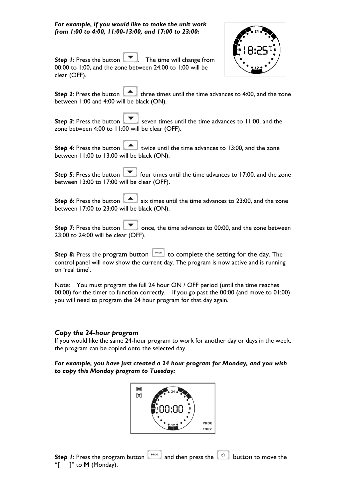*For example, if you would like to make the unit work from 1:00 to 4:00, 11:00-13:00, and 17:00 to 23:00:* 



**Step 1:** Press the button **.** The time will change from 00:00 to 1:00, and the zone between 24:00 to 1:00 will be clear (OFF).

**Step 2**: Press the button  $\Box$  three times until the time advances to 4:00, and the zone between 1:00 and 4:00 will be black (ON).

**Step 3:** Press the button seven times until the time advances to 11:00, and the zone between 4:00 to 11:00 will be clear (OFF).

**Step 4**: Press the button **the lattice until the time advances to 13:00, and the zone** between 11:00 to 13.00 will be black (ON).

**Step 5**: Press the button  $\boxed{\bullet}$  four times until the time advances to 17:00, and the zone between 13:00 to 17:00 will be clear (OFF).

**Step 6**: Press the button **Si** six times until the time advances to 23:00, and the zone between 17:00 to 23:00 will be black (ON).

**Step 7:** Press the button  $\Box$  once, the time advances to 00:00, and the zone between 23:00 to 24:00 will be clear (OFF).

**Step 8:** Press the program button  $\begin{bmatrix} \text{Proof} \\ \text{Proof} \end{bmatrix}$  to complete the setting for the day. The control panel will now show the current day. The program is now active and is running on 'real time'.

Note: You must program the full 24 hour ON / OFF period (until the time reaches 00:00) for the timer to function correctly. If you go past the 00:00 (and move to 01:00) you will need to program the 24 hour program for that day again.

#### *Copy the 24-hour program*

If you would like the same 24-hour program to work for another day or days in the week, the program can be copied onto the selected day.

#### *For example, you have just created a 24 hour program for Monday, and you wish to copy this Monday program to Tuesday:*

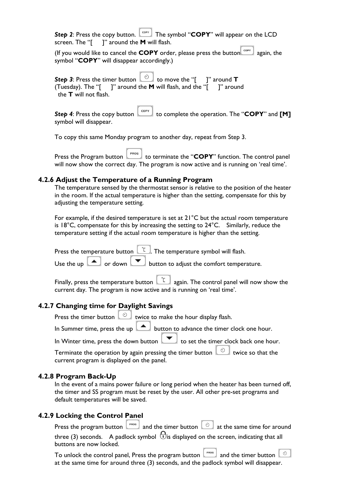**Step 2:** Press the copy button.  $\begin{bmatrix} \cos y \\ \cos x \end{bmatrix}$  The symbol "**COPY**" will appear on the LCD screen. The "[ ]" around the **M** will flash.

(If you would like to cancel the **COPY** order, please press the button  $\begin{bmatrix} \cos y \\ \cos z \end{bmatrix}$  again, the symbol "**COPY**" will disappear accordingly.)

**Step 3**: Press the timer button  $\begin{bmatrix} 0 \\ 0 \end{bmatrix}$  to move the "[ ]" around **T** (Tuesday). The "[ ]" around the **M** will flash, and the "[ ]" around the **T** will not flash.

**Step 4**: Press the copy button  $\begin{bmatrix} \cos y \\ \cos z \end{bmatrix}$  to complete the operation. The "**COPY**" and **[M]** symbol will disappear.

To copy this same Monday program to another day, repeat from Step 3.

| PROG | Press the Program button [1992] to terminate the "COPY" function. The control panel     |
|------|-----------------------------------------------------------------------------------------|
|      | will now show the correct day. The program is now active and is running on 'real time'. |

#### **4.2.6 Adjust the Temperature of a Running Program**

The temperature sensed by the thermostat sensor is relative to the position of the heater in the room. If the actual temperature is higher than the setting, compensate for this by adjusting the temperature setting.

For example, if the desired temperature is set at 21°C but the actual room temperature is 18 $^{\circ}$ C, compensate for this by increasing the setting to  $24^{\circ}$ C. Similarly, reduce the temperature setting if the actual room temperature is higher than the setting.

Press the temperature button  $\begin{bmatrix} 1 & 0 \\ 0 & 1 \end{bmatrix}$ . The temperature symbol will flash. Use the up  $\boxed{\blacktriangle}$  or down  $\boxed{\blacktriangledown}$  button to adjust the comfort temperature.

Finally, press the temperature button  $\begin{bmatrix} 1 \ 0 \end{bmatrix}$  again. The control panel will now show the current day. The program is now active and is running on 'real time'.

#### **4.2.7 Changing time for Daylight Savings**

Press the timer button  $\circlearrowright$  twice to make the hour display flash.

In Summer time, press the up  $\Box$  button to advance the timer clock one hour.

In Winter time, press the down button  $\boxed{\blacktriangledown}$  to set the timer clock back one hour.

Terminate the operation by again pressing the timer button  $\Box$  twice so that the current program is displayed on the panel.

#### **4.2.8 Program Back-Up**

In the event of a mains power failure or long period when the heater has been turned off, the timer and SS program must be reset by the user. All other pre-set programs and default temperatures will be saved.

#### **4.2.9 Locking the Control Panel**

Press the program button  $\begin{bmatrix} P_{\text{PPOG}} \\ P_{\text{PDOG}} \end{bmatrix}$  and the timer button  $\begin{bmatrix} \odot \\ \odot \end{bmatrix}$  at the same time for around three (3) seconds. A padlock symbol  $\Theta$  is displayed on the screen, indicating that all buttons are now locked.

To unlock the control panel, Press the program button  $\begin{bmatrix} \text{PROG} \\ \text{PROG} \end{bmatrix}$  and the timer button  $\circ$ at the same time for around three (3) seconds, and the padlock symbol will disappear.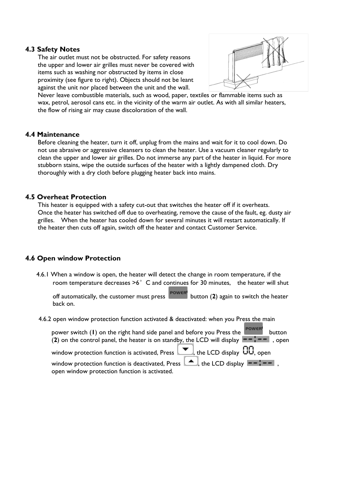#### **4.3 Safety Notes**

The air outlet must not be obstructed. For safety reasons the upper and lower air grilles must never be covered with items such as washing nor obstructed by items in close proximity (see figure to right). Objects should not be leant against the unit nor placed between the unit and the wall.



Never leave combustible materials, such as wood, paper, textiles or flammable items such as wax, petrol, aerosol cans etc. in the vicinity of the warm air outlet. As with all similar heaters, the flow of rising air may cause discoloration of the wall.

#### **4.4 Maintenance**

Before cleaning the heater, turn it off, unplug from the mains and wait for it to cool down. Do not use abrasive or aggressive cleansers to clean the heater. Use a vacuum cleaner regularly to clean the upper and lower air grilles. Do not immerse any part of the heater in liquid. For more stubborn stains, wipe the outside surfaces of the heater with a lightly dampened cloth. Dry thoroughly with a dry cloth before plugging heater back into mains.

#### **4.5 Overheat Protection**

This heater is equipped with a safety cut-out that switches the heater off if it overheats. Once the heater has switched off due to overheating, remove the cause of the fault, eg. dusty air grilles. When the heater has cooled down for several minutes it will restart automatically. If the heater then cuts off again, switch off the heater and contact Customer Service.

#### **4.6 Open window Protection**

 4.6.1 When a window is open, the heater will detect the change in room temperature, if the room temperature decreases  $>6^\circ$  C and continues for 30 minutes, the heater will shut

off automatically, the customer must press button (**2**) again to switch the heater back on.

4.6.2 open window protection function activated & deactivated: when you Press the main

| power switch (1) on the right hand side panel and before you Press the<br>button<br>(2) on the control panel, the heater is on standby, the LCD will display $\bullet - \bullet - \bullet$ , open |
|---------------------------------------------------------------------------------------------------------------------------------------------------------------------------------------------------|
| window protection function is activated, Press $\boxed{\blacktriangledown}$ , the LCD display $\boxed{10}$ , open                                                                                 |
| window protection function is deactivated, Press $\Box$ , the LCD display $\Box$ $\Box$<br>open window protection function is activated.                                                          |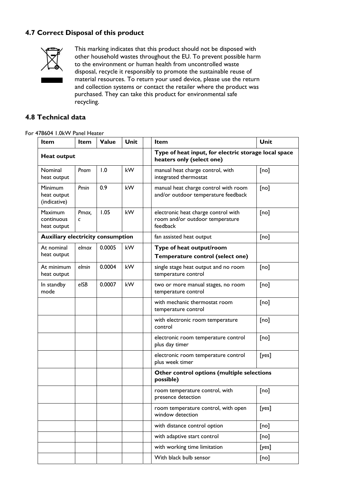## **4.7 Correct Disposal of this product**



This marking indicates that this product should not be disposed with other household wastes throughout the EU. To prevent possible harm to the environment or human health from uncontrolled waste disposal, recycle it responsibly to promote the sustainable reuse of material resources. To return your used device, please use the return and collection systems or contact the retailer where the product was purchased. They can take this product for environmental safe recycling.

#### **4.8 Technical data**

#### For 478604 1.0kW Panel Heater

| <b>Item</b>                                 | Item                | Value                                                     | Unit | Item                                                                               | Unit  |  |
|---------------------------------------------|---------------------|-----------------------------------------------------------|------|------------------------------------------------------------------------------------|-------|--|
| <b>Heat output</b>                          |                     |                                                           |      | Type of heat input, for electric storage local space<br>heaters only (select one)  |       |  |
| Nominal<br>heat output                      | Pnom                | 1.0                                                       | kW   | manual heat charge control, with<br>integrated thermostat                          | [no]  |  |
| Minimum<br>heat output<br>(indicative)      | Pmin                | 0.9                                                       | kW   | manual heat charge control with room<br>and/or outdoor temperature feedback        | [no]  |  |
| <b>Maximum</b><br>continuous<br>heat output | Pmax,<br>$\epsilon$ | 1.05                                                      | kW   | electronic heat charge control with<br>room and/or outdoor temperature<br>feedback | [no]  |  |
| <b>Auxiliary electricity consumption</b>    |                     |                                                           |      | fan assisted heat output                                                           | [no]  |  |
| At nominal                                  | elmax               | 0.0005                                                    | kW   | Type of heat output/room                                                           |       |  |
| heat output                                 |                     |                                                           |      | Temperature control (select one)                                                   |       |  |
| At minimum<br>heat output                   | elmin               | 0.0004                                                    | kW   | single stage heat output and no room<br>temperature control                        | [no]  |  |
| 0.0007<br>In standby<br>elSB<br>mode        | kW                  | two or more manual stages, no room<br>temperature control | [no] |                                                                                    |       |  |
|                                             |                     |                                                           |      | with mechanic thermostat room<br>temperature control                               | [no]  |  |
|                                             |                     |                                                           |      | with electronic room temperature<br>control                                        | [no]  |  |
|                                             |                     |                                                           |      | electronic room temperature control<br>plus day timer                              | [no]  |  |
|                                             |                     |                                                           |      | electronic room temperature control<br>plus week timer                             | [yes] |  |
|                                             |                     |                                                           |      | Other control options (multiple selections<br>possible)                            |       |  |
|                                             |                     |                                                           |      | room temperature control, with<br>presence detection                               | [no]  |  |
|                                             |                     |                                                           |      | room temperature control, with open<br>window detection                            | [yes] |  |
|                                             |                     |                                                           |      | with distance control option                                                       | [no]  |  |
|                                             |                     |                                                           |      | with adaptive start control                                                        | [no]  |  |
|                                             |                     |                                                           |      | with working time limitation                                                       | [yes] |  |
|                                             |                     |                                                           |      | With black bulb sensor                                                             | [no]  |  |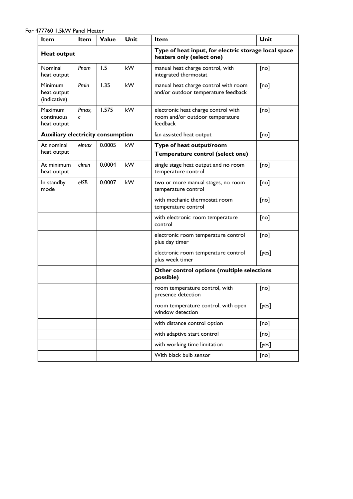For 477760 1.5kW Panel Heater

| Item                                          | <b>Item</b> | Value                                                     | <b>Unit</b>                                             | Item                                                                               | Unit  |  |
|-----------------------------------------------|-------------|-----------------------------------------------------------|---------------------------------------------------------|------------------------------------------------------------------------------------|-------|--|
| <b>Heat output</b>                            |             |                                                           |                                                         | Type of heat input, for electric storage local space<br>heaters only (select one)  |       |  |
| Nominal<br>heat output                        | Pnom        | 1.5                                                       | kW                                                      | manual heat charge control, with<br>integrated thermostat                          | [no]  |  |
| <b>Minimum</b><br>heat output<br>(indicative) | Pmin        | 1.35                                                      | kW                                                      | manual heat charge control with room<br>and/or outdoor temperature feedback        | [no]  |  |
| <b>Maximum</b><br>continuous<br>heat output   | Pmax,<br>C  | 1.575                                                     | kW                                                      | electronic heat charge control with<br>room and/or outdoor temperature<br>feedback | [no]  |  |
| <b>Auxiliary electricity consumption</b>      |             |                                                           |                                                         | fan assisted heat output                                                           | [no]  |  |
| At nominal                                    | elmax       | 0.0005                                                    | kW                                                      | Type of heat output/room                                                           |       |  |
| heat output                                   |             |                                                           |                                                         | Temperature control (select one)                                                   |       |  |
| At minimum<br>heat output                     | elmin       | 0.0004                                                    | kW                                                      | single stage heat output and no room<br>temperature control                        | [no]  |  |
| 0.0007<br>e/SB<br>In standby<br>mode          | kW          | two or more manual stages, no room<br>temperature control | [no]                                                    |                                                                                    |       |  |
|                                               |             | with mechanic thermostat room<br>temperature control      | [no]                                                    |                                                                                    |       |  |
|                                               |             |                                                           |                                                         | with electronic room temperature<br>control                                        | [no]  |  |
|                                               |             |                                                           |                                                         | electronic room temperature control<br>plus day timer                              | [no]  |  |
|                                               |             |                                                           |                                                         | electronic room temperature control<br>plus week timer                             | [yes] |  |
|                                               |             |                                                           | Other control options (multiple selections<br>possible) |                                                                                    |       |  |
|                                               |             |                                                           |                                                         | room temperature control, with<br>presence detection                               | [no]  |  |
|                                               |             |                                                           |                                                         | room temperature control, with open<br>window detection                            | [yes] |  |
|                                               |             |                                                           |                                                         | with distance control option                                                       | [no]  |  |
|                                               |             |                                                           |                                                         | with adaptive start control                                                        | [no]  |  |
|                                               |             |                                                           |                                                         | with working time limitation                                                       | [yes] |  |
|                                               |             |                                                           |                                                         | With black bulb sensor                                                             | [no]  |  |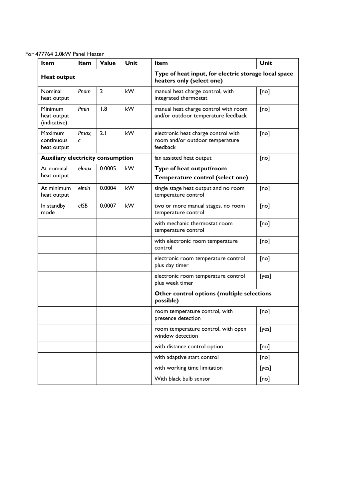For 477764 2.0kW Panel Heater

| Item                                     | Item       | Value                                                | Unit                                                    | Item                                                                               | Unit  |
|------------------------------------------|------------|------------------------------------------------------|---------------------------------------------------------|------------------------------------------------------------------------------------|-------|
| <b>Heat output</b>                       |            |                                                      |                                                         | Type of heat input, for electric storage local space<br>heaters only (select one)  |       |
| Nominal<br>heat output                   | Pnom       | $\overline{2}$                                       | kW                                                      | manual heat charge control, with<br>integrated thermostat                          | [no]  |
| Minimum<br>heat output<br>(indicative)   | Pmin       | 1.8                                                  | kW                                                      | manual heat charge control with room<br>and/or outdoor temperature feedback        | [no]  |
| Maximum<br>continuous<br>heat output     | Pmax,<br>C | 2.1                                                  | kW                                                      | electronic heat charge control with<br>room and/or outdoor temperature<br>feedback | [no]  |
| <b>Auxiliary electricity consumption</b> |            |                                                      |                                                         | fan assisted heat output                                                           | [no]  |
| At nominal                               | elmax      | 0.0005                                               | kW                                                      | Type of heat output/room                                                           |       |
| heat output                              |            |                                                      |                                                         | Temperature control (select one)                                                   |       |
| At minimum<br>heat output                | elmin      | 0.0004                                               | kW                                                      | single stage heat output and no room<br>temperature control                        | [no]  |
| In standby<br>mode                       | elSB       | 0.0007                                               | kW                                                      | two or more manual stages, no room<br>temperature control                          | [no]  |
|                                          |            | with mechanic thermostat room<br>temperature control | [no]                                                    |                                                                                    |       |
|                                          |            |                                                      |                                                         | with electronic room temperature<br>control                                        | [no]  |
|                                          |            |                                                      |                                                         | electronic room temperature control<br>plus day timer                              | [no]  |
|                                          |            |                                                      |                                                         | electronic room temperature control<br>plus week timer                             | [yes] |
|                                          |            |                                                      |                                                         | Other control options (multiple selections<br>possible)                            |       |
|                                          |            |                                                      |                                                         | room temperature control, with<br>presence detection                               | [no]  |
|                                          |            |                                                      | room temperature control, with open<br>window detection | [yes]                                                                              |       |
|                                          |            |                                                      |                                                         | with distance control option                                                       | [no]  |
|                                          |            |                                                      |                                                         | with adaptive start control                                                        | [no]  |
|                                          |            |                                                      |                                                         | with working time limitation                                                       | [yes] |
|                                          |            |                                                      |                                                         | With black bulb sensor                                                             | [no]  |